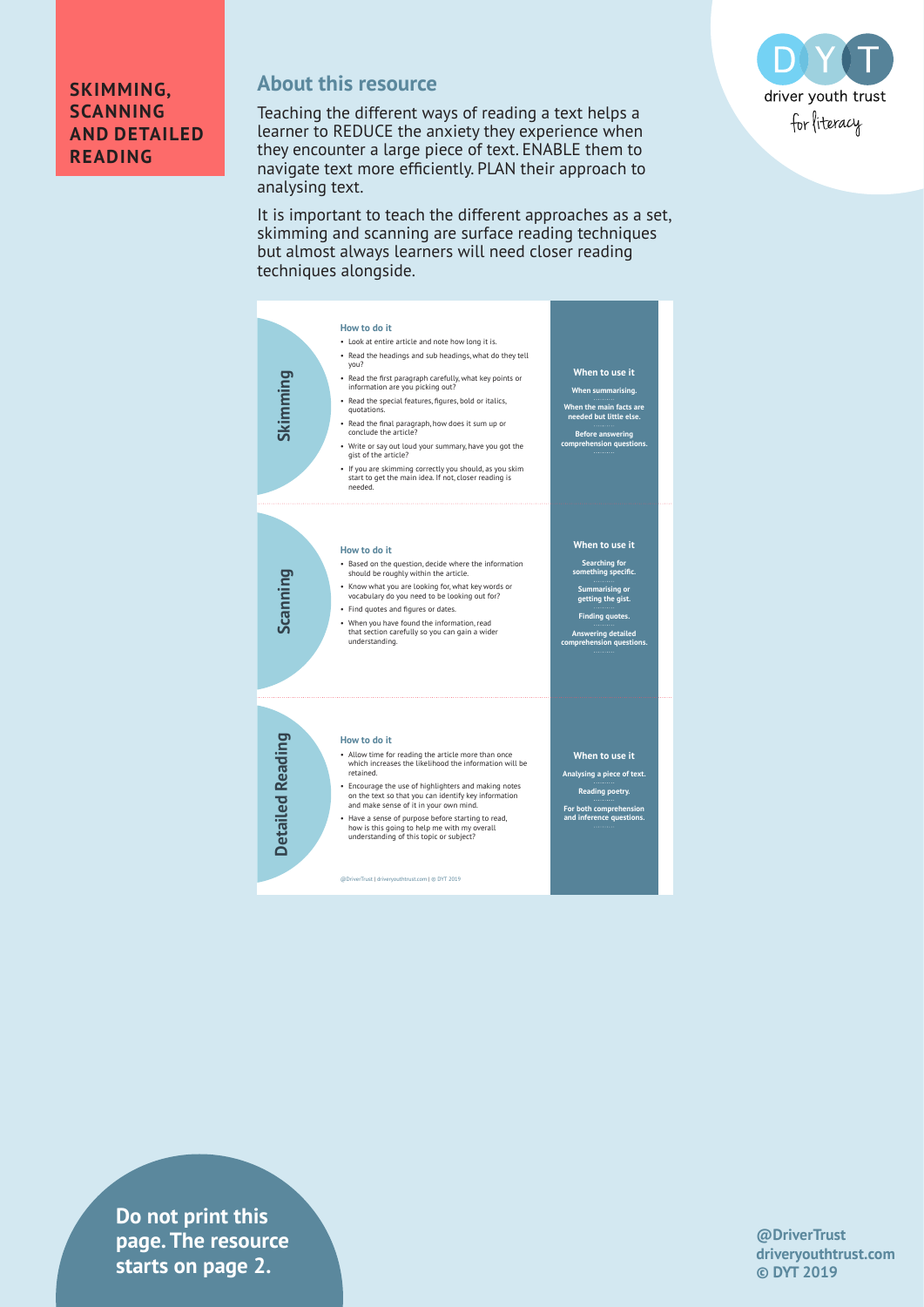

#### **SKIMMING, SCANNING AND DETAILED READING**

# **About this resource**

Teaching the different ways of reading a text helps a learner to REDUCE the anxiety they experience when they encounter a large piece of text. ENABLE them to navigate text more efficiently. PLAN their approach to analysing text.

It is important to teach the different approaches as a set, skimming and scanning are surface reading techniques but almost always learners will need closer reading techniques alongside.



**Do not print this page. The resource starts on page 2.**

**@DriverTrust driveryouthtrust.com © DYT 2019**